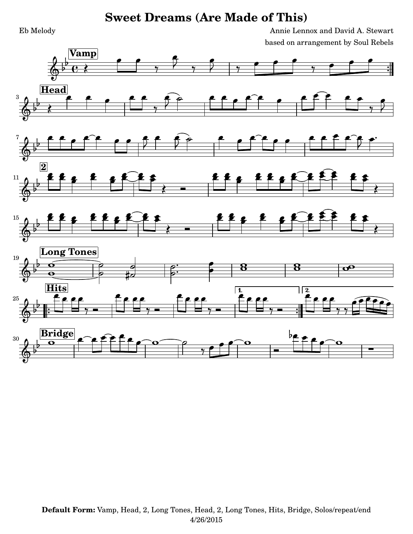Eb Melody Annie Lennox and David A. Stewart based on arrangement by Soul Rebels

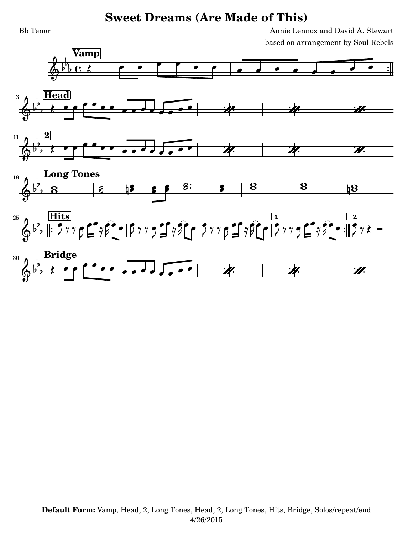Bb Tenor Annie Lennox and David A. Stewart based on arrangement by Soul Rebels

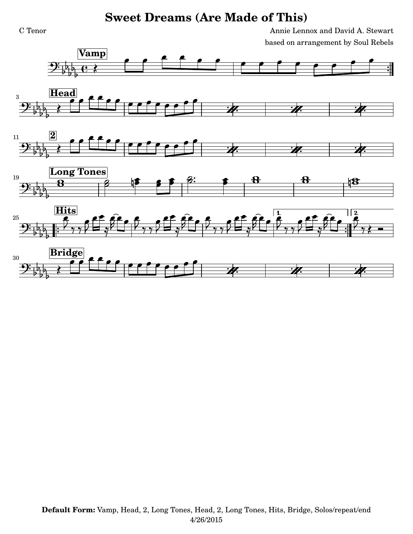C Tenor Annie Lennox and David A. Stewart based on arrangement by Soul Rebels

> $\frac{1}{2}$  $\frac{1}{2}$











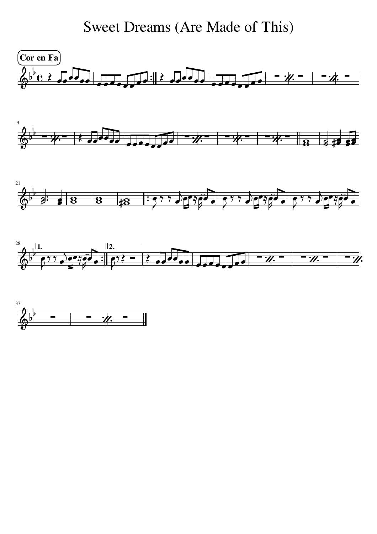Sweet Dreams (Are Made of This)



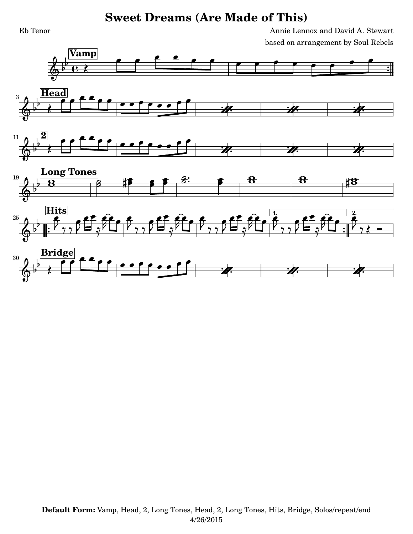Eb Tenor Annie Lennox and David A. Stewart based on arrangement by Soul Rebels

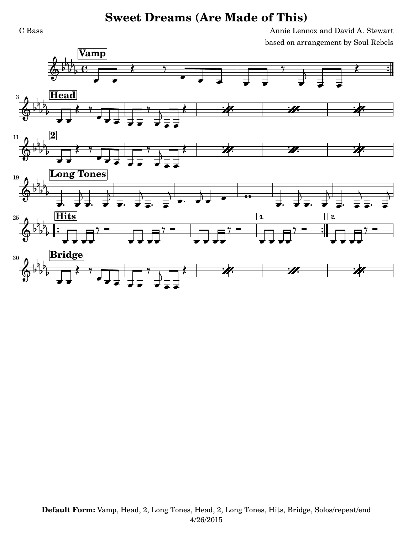C Bass Annie Lennox and David A. Stewart based on arrangement by Soul Rebels

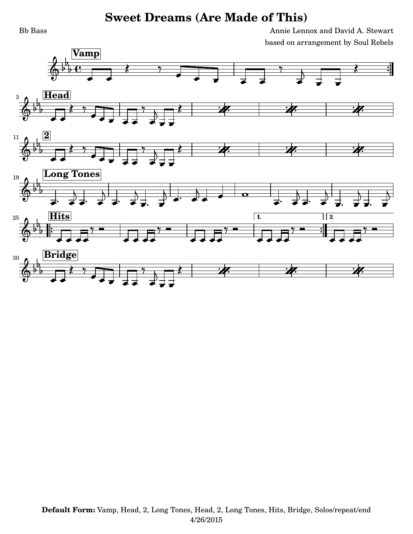Bb Bass Annie Lennox and David A. Stewart based on arrangement by Soul Rebels

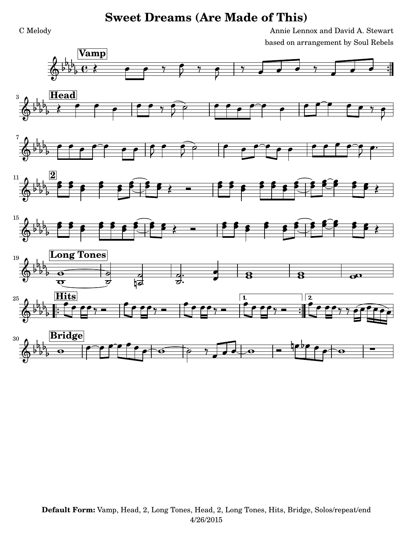C Melody Annie Lennox and David A. Stewart based on arrangement by Soul Rebels

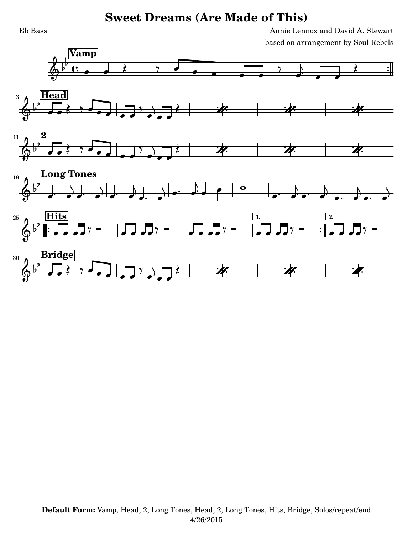Eb Bass Annie Lennox and David A. Stewart based on arrangement by Soul Rebels